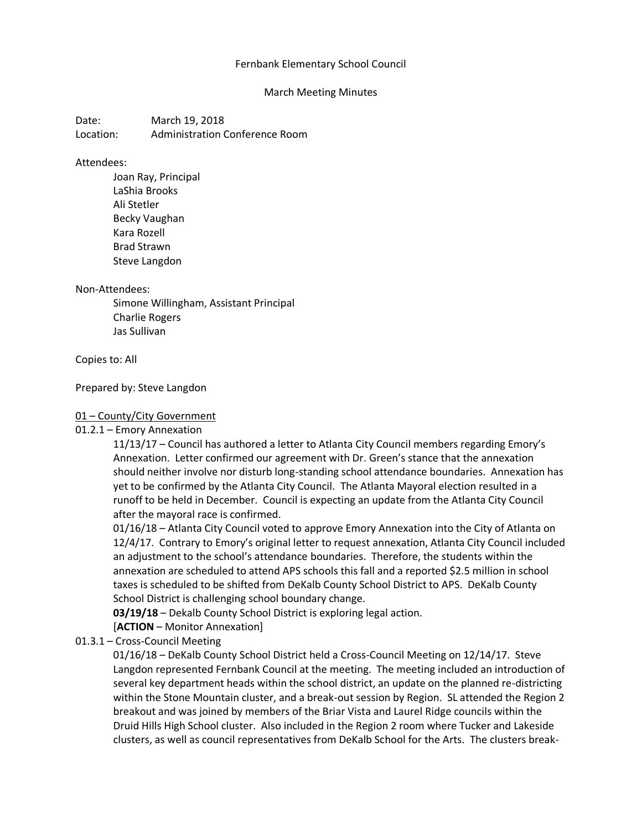### Fernbank Elementary School Council

#### March Meeting Minutes

Date: March 19, 2018 Location: Administration Conference Room

#### Attendees:

Joan Ray, Principal LaShia Brooks Ali Stetler Becky Vaughan Kara Rozell Brad Strawn Steve Langdon

#### Non-Attendees:

Simone Willingham, Assistant Principal Charlie Rogers Jas Sullivan

#### Copies to: All

### Prepared by: Steve Langdon

### 01 – County/City Government

### 01.2.1 – Emory Annexation

11/13/17 – Council has authored a letter to Atlanta City Council members regarding Emory's Annexation. Letter confirmed our agreement with Dr. Green's stance that the annexation should neither involve nor disturb long-standing school attendance boundaries. Annexation has yet to be confirmed by the Atlanta City Council. The Atlanta Mayoral election resulted in a runoff to be held in December. Council is expecting an update from the Atlanta City Council after the mayoral race is confirmed.

01/16/18 – Atlanta City Council voted to approve Emory Annexation into the City of Atlanta on 12/4/17. Contrary to Emory's original letter to request annexation, Atlanta City Council included an adjustment to the school's attendance boundaries. Therefore, the students within the annexation are scheduled to attend APS schools this fall and a reported \$2.5 million in school taxes is scheduled to be shifted from DeKalb County School District to APS. DeKalb County School District is challenging school boundary change.

**03/19/18** – Dekalb County School District is exploring legal action.

[**ACTION** – Monitor Annexation]

### 01.3.1 – Cross-Council Meeting

01/16/18 – DeKalb County School District held a Cross-Council Meeting on 12/14/17. Steve Langdon represented Fernbank Council at the meeting. The meeting included an introduction of several key department heads within the school district, an update on the planned re-districting within the Stone Mountain cluster, and a break-out session by Region. SL attended the Region 2 breakout and was joined by members of the Briar Vista and Laurel Ridge councils within the Druid Hills High School cluster. Also included in the Region 2 room where Tucker and Lakeside clusters, as well as council representatives from DeKalb School for the Arts. The clusters break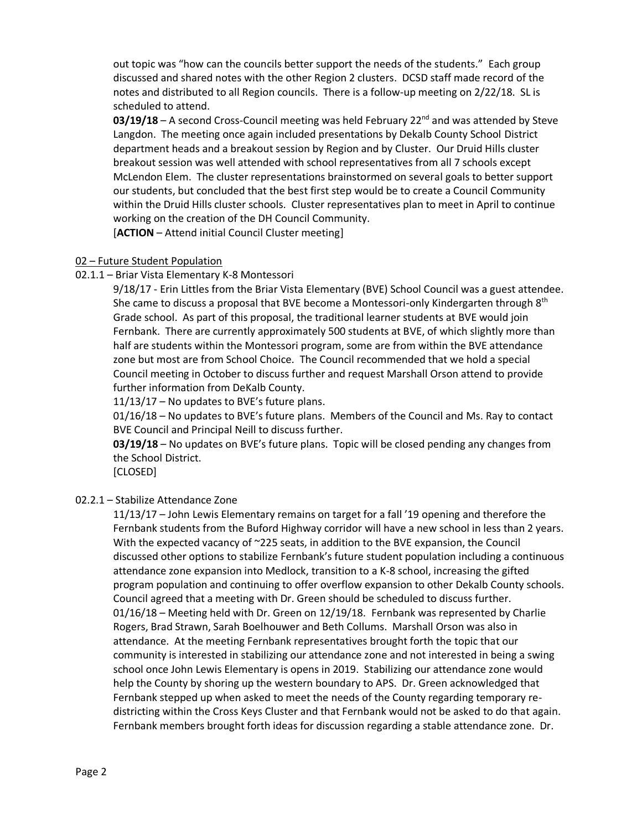out topic was "how can the councils better support the needs of the students." Each group discussed and shared notes with the other Region 2 clusters. DCSD staff made record of the notes and distributed to all Region councils. There is a follow-up meeting on 2/22/18. SL is scheduled to attend.

03/19/18 – A second Cross-Council meeting was held February 22<sup>nd</sup> and was attended by Steve Langdon. The meeting once again included presentations by Dekalb County School District department heads and a breakout session by Region and by Cluster. Our Druid Hills cluster breakout session was well attended with school representatives from all 7 schools except McLendon Elem. The cluster representations brainstormed on several goals to better support our students, but concluded that the best first step would be to create a Council Community within the Druid Hills cluster schools. Cluster representatives plan to meet in April to continue working on the creation of the DH Council Community.

[**ACTION** – Attend initial Council Cluster meeting]

# 02 – Future Student Population

# 02.1.1 – Briar Vista Elementary K-8 Montessori

9/18/17 - Erin Littles from the Briar Vista Elementary (BVE) School Council was a guest attendee. She came to discuss a proposal that BVE become a Montessori-only Kindergarten through  $8<sup>th</sup>$ Grade school. As part of this proposal, the traditional learner students at BVE would join Fernbank. There are currently approximately 500 students at BVE, of which slightly more than half are students within the Montessori program, some are from within the BVE attendance zone but most are from School Choice. The Council recommended that we hold a special Council meeting in October to discuss further and request Marshall Orson attend to provide further information from DeKalb County.

11/13/17 – No updates to BVE's future plans.

01/16/18 – No updates to BVE's future plans. Members of the Council and Ms. Ray to contact BVE Council and Principal Neill to discuss further.

**03/19/18** – No updates on BVE's future plans. Topic will be closed pending any changes from the School District.

[CLOSED]

# 02.2.1 – Stabilize Attendance Zone

11/13/17 – John Lewis Elementary remains on target for a fall '19 opening and therefore the Fernbank students from the Buford Highway corridor will have a new school in less than 2 years. With the expected vacancy of ~225 seats, in addition to the BVE expansion, the Council discussed other options to stabilize Fernbank's future student population including a continuous attendance zone expansion into Medlock, transition to a K-8 school, increasing the gifted program population and continuing to offer overflow expansion to other Dekalb County schools. Council agreed that a meeting with Dr. Green should be scheduled to discuss further. 01/16/18 – Meeting held with Dr. Green on 12/19/18. Fernbank was represented by Charlie Rogers, Brad Strawn, Sarah Boelhouwer and Beth Collums. Marshall Orson was also in attendance. At the meeting Fernbank representatives brought forth the topic that our community is interested in stabilizing our attendance zone and not interested in being a swing school once John Lewis Elementary is opens in 2019. Stabilizing our attendance zone would help the County by shoring up the western boundary to APS. Dr. Green acknowledged that Fernbank stepped up when asked to meet the needs of the County regarding temporary redistricting within the Cross Keys Cluster and that Fernbank would not be asked to do that again. Fernbank members brought forth ideas for discussion regarding a stable attendance zone. Dr.